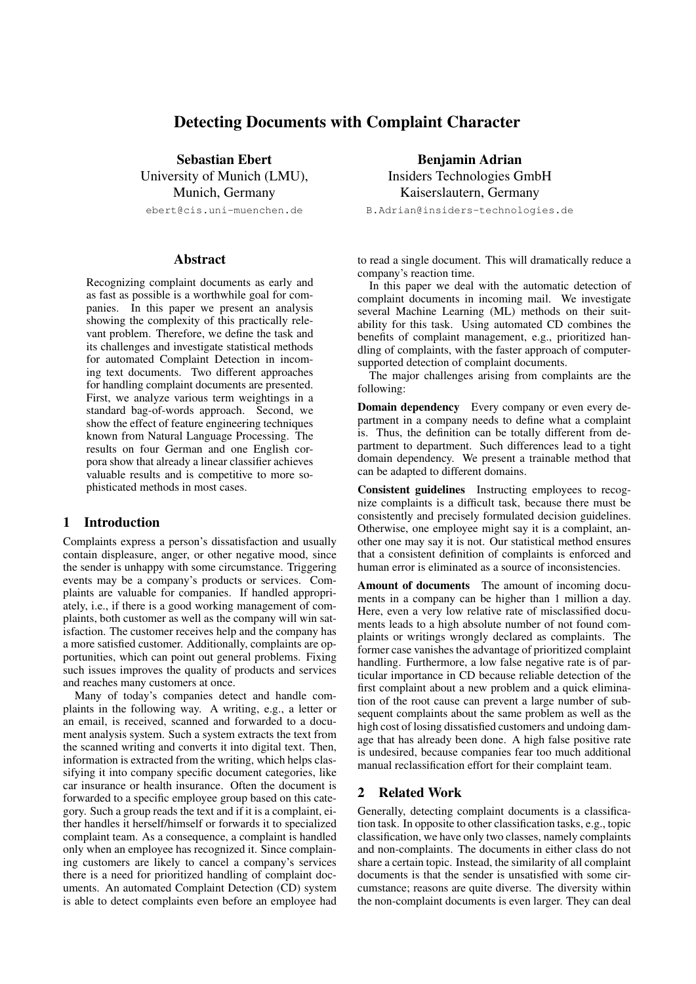# Detecting Documents with Complaint Character

Sebastian Ebert University of Munich (LMU), Munich, Germany

ebert@cis.uni-muenchen.de

## Abstract

Recognizing complaint documents as early and as fast as possible is a worthwhile goal for companies. In this paper we present an analysis showing the complexity of this practically relevant problem. Therefore, we define the task and its challenges and investigate statistical methods for automated Complaint Detection in incoming text documents. Two different approaches for handling complaint documents are presented. First, we analyze various term weightings in a standard bag-of-words approach. Second, we show the effect of feature engineering techniques known from Natural Language Processing. The results on four German and one English corpora show that already a linear classifier achieves valuable results and is competitive to more sophisticated methods in most cases.

## 1 Introduction

Complaints express a person's dissatisfaction and usually contain displeasure, anger, or other negative mood, since the sender is unhappy with some circumstance. Triggering events may be a company's products or services. Complaints are valuable for companies. If handled appropriately, i.e., if there is a good working management of complaints, both customer as well as the company will win satisfaction. The customer receives help and the company has a more satisfied customer. Additionally, complaints are opportunities, which can point out general problems. Fixing such issues improves the quality of products and services and reaches many customers at once.

Many of today's companies detect and handle complaints in the following way. A writing, e.g., a letter or an email, is received, scanned and forwarded to a document analysis system. Such a system extracts the text from the scanned writing and converts it into digital text. Then, information is extracted from the writing, which helps classifying it into company specific document categories, like car insurance or health insurance. Often the document is forwarded to a specific employee group based on this category. Such a group reads the text and if it is a complaint, either handles it herself/himself or forwards it to specialized complaint team. As a consequence, a complaint is handled only when an employee has recognized it. Since complaining customers are likely to cancel a company's services there is a need for prioritized handling of complaint documents. An automated Complaint Detection (CD) system is able to detect complaints even before an employee had

Benjamin Adrian Insiders Technologies GmbH Kaiserslautern, Germany

B.Adrian@insiders-technologies.de

to read a single document. This will dramatically reduce a company's reaction time.

In this paper we deal with the automatic detection of complaint documents in incoming mail. We investigate several Machine Learning (ML) methods on their suitability for this task. Using automated CD combines the benefits of complaint management, e.g., prioritized handling of complaints, with the faster approach of computersupported detection of complaint documents.

The major challenges arising from complaints are the following:

Domain dependency Every company or even every department in a company needs to define what a complaint is. Thus, the definition can be totally different from department to department. Such differences lead to a tight domain dependency. We present a trainable method that can be adapted to different domains.

Consistent guidelines Instructing employees to recognize complaints is a difficult task, because there must be consistently and precisely formulated decision guidelines. Otherwise, one employee might say it is a complaint, another one may say it is not. Our statistical method ensures that a consistent definition of complaints is enforced and human error is eliminated as a source of inconsistencies.

Amount of documents The amount of incoming documents in a company can be higher than 1 million a day. Here, even a very low relative rate of misclassified documents leads to a high absolute number of not found complaints or writings wrongly declared as complaints. The former case vanishes the advantage of prioritized complaint handling. Furthermore, a low false negative rate is of particular importance in CD because reliable detection of the first complaint about a new problem and a quick elimination of the root cause can prevent a large number of subsequent complaints about the same problem as well as the high cost of losing dissatisfied customers and undoing damage that has already been done. A high false positive rate is undesired, because companies fear too much additional manual reclassification effort for their complaint team.

## 2 Related Work

Generally, detecting complaint documents is a classification task. In opposite to other classification tasks, e.g., topic classification, we have only two classes, namely complaints and non-complaints. The documents in either class do not share a certain topic. Instead, the similarity of all complaint documents is that the sender is unsatisfied with some circumstance; reasons are quite diverse. The diversity within the non-complaint documents is even larger. They can deal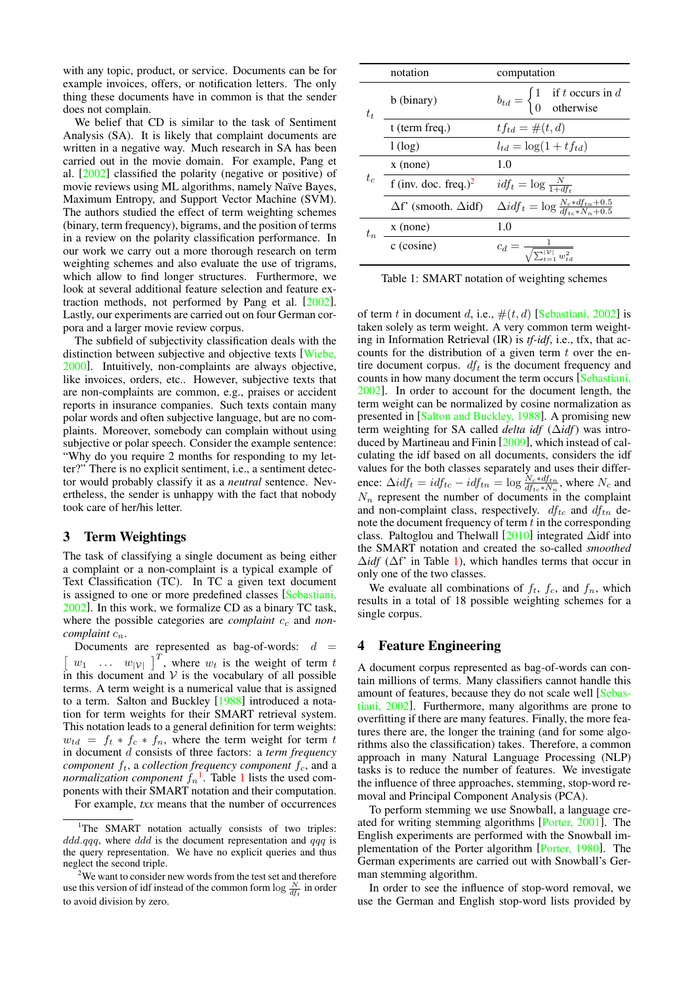with any topic, product, or service. Documents can be for example invoices, offers, or notification letters. The only thing these documents have in common is that the sender does not complain.

We belief that CD is similar to the task of Sentiment Analysis (SA). It is likely that complaint documents are written in a negative way. Much research in SA has been carried out in the movie domain. For example, Pang et al. [\[2002\]](#page-3-0) classified the polarity (negative or positive) of movie reviews using ML algorithms, namely Naïve Bayes, Maximum Entropy, and Support Vector Machine (SVM). The authors studied the effect of term weighting schemes (binary, term frequency), bigrams, and the position of terms in a review on the polarity classification performance. In our work we carry out a more thorough research on term weighting schemes and also evaluate the use of trigrams, which allow to find longer structures. Furthermore, we look at several additional feature selection and feature extraction methods, not performed by Pang et al. [\[2002\]](#page-3-0). Lastly, our experiments are carried out on four German corpora and a larger movie review corpus.

The subfield of subjectivity classification deals with the distinction between subjective and objective texts [\[Wiebe,](#page-3-1) [2000\]](#page-3-1). Intuitively, non-complaints are always objective, like invoices, orders, etc.. However, subjective texts that are non-complaints are common, e.g., praises or accident reports in insurance companies. Such texts contain many polar words and often subjective language, but are no complaints. Moreover, somebody can complain without using subjective or polar speech. Consider the example sentence: "Why do you require 2 months for responding to my letter?" There is no explicit sentiment, i.e., a sentiment detector would probably classify it as a *neutral* sentence. Nevertheless, the sender is unhappy with the fact that nobody took care of her/his letter.

# 3 Term Weightings

The task of classifying a single document as being either a complaint or a non-complaint is a typical example of Text Classification (TC). In TC a given text document is assigned to one or more predefined classes [\[Sebastiani,](#page-3-2) [2002\]](#page-3-2). In this work, we formalize CD as a binary TC task, where the possible categories are *complaint*  $c_c$  and *noncomplaint*  $c_n$ .

Documents are represented as bag-of-words:  $d =$  $\begin{bmatrix} w_1 & \cdots & w_{|\mathcal{V}|} \end{bmatrix}^T$ , where  $w_t$  is the weight of term t in this document and  $V$  is the vocabulary of all possible terms. A term weight is a numerical value that is assigned to a term. Salton and Buckley [\[1988\]](#page-3-3) introduced a notation for term weights for their SMART retrieval system. This notation leads to a general definition for term weights:  $w_{td} = f_t * f_c * f_n$ , where the term weight for term t in document d consists of three factors: a *term frequency component*  $f_t$ , a *collection frequency component*  $f_c$ , and a *normalization component*  $f_n$ <sup>[1](#page-1-1)</sup>. Table 1 lists the used components with their SMART notation and their computation.

For example, *txx* means that the number of occurrences

|         | notation                                | computation                                                                                        |  |  |  |  |  |  |  |
|---------|-----------------------------------------|----------------------------------------------------------------------------------------------------|--|--|--|--|--|--|--|
| $t_{t}$ | b (binary)                              | $b_{td} = \begin{cases} 1 & \text{if } t \text{ occurs in } d \\ 0 & \text{otherwise} \end{cases}$ |  |  |  |  |  |  |  |
|         | $t$ (term freq.)                        | $tf_{td} = \#(t,d)$                                                                                |  |  |  |  |  |  |  |
|         | $1$ (log)                               | $l_{td} = \log(1 + tf_{td})$                                                                       |  |  |  |  |  |  |  |
| $t_c$   | $x \text{ (none)}$                      | 1.0                                                                                                |  |  |  |  |  |  |  |
|         | f (inv. doc. freq.) <sup>2</sup>        | $\textit{idf}_t = \log \frac{N}{1+d_t}$                                                            |  |  |  |  |  |  |  |
|         | $\Delta f'$ (smooth. $\Delta idf$ )     | $\Delta i df_t = \log \frac{N_c * df_{tn} + 0.5}{df_{t+s} N_s + 0.5}$                              |  |  |  |  |  |  |  |
|         | $t_n \perp^{\mathbf{x} \text{ (none)}}$ | 1.0                                                                                                |  |  |  |  |  |  |  |
|         | c (cosine)                              |                                                                                                    |  |  |  |  |  |  |  |

<span id="page-1-1"></span>Table 1: SMART notation of weighting schemes

of term t in document d, i.e.,  $\#(t, d)$  [\[Sebastiani, 2002\]](#page-3-2) is taken solely as term weight. A very common term weighting in Information Retrieval (IR) is *tf-idf*, i.e., tfx, that accounts for the distribution of a given term  $t$  over the entire document corpus.  $df_t$  is the document frequency and counts in how many document the term occurs [\[Sebastiani,](#page-3-2) [2002\]](#page-3-2). In order to account for the document length, the term weight can be normalized by cosine normalization as presented in [\[Salton and Buckley, 1988\]](#page-3-3). A promising new term weighting for SA called *delta idf* (∆*idf*) was introduced by Martineau and Finin [\[2009\]](#page-3-4), which instead of calculating the idf based on all documents, considers the idf values for the both classes separately and uses their difference:  $\Delta i df_t = i df_{tc} - i df_{tn} = \log \frac{N_c * df_{tn}}{df_{tc} * N_n}$ , where  $N_c$  and  $N_n$  represent the number of documents in the complaint and non-complaint class, respectively.  $df_{tc}$  and  $df_{tn}$  denote the document frequency of term  $t$  in the corresponding class. Paltoglou and Thelwall [\[2010\]](#page-3-5) integrated ∆idf into the SMART notation and created the so-called *smoothed* ∆*idf* (∆f' in Table [1\)](#page-1-1), which handles terms that occur in only one of the two classes.

We evaluate all combinations of  $f_t$ ,  $f_c$ , and  $f_n$ , which results in a total of 18 possible weighting schemes for a single corpus.

# 4 Feature Engineering

A document corpus represented as bag-of-words can contain millions of terms. Many classifiers cannot handle this amount of features, because they do not scale well [\[Sebas](#page-3-2)[tiani, 2002\]](#page-3-2). Furthermore, many algorithms are prone to overfitting if there are many features. Finally, the more features there are, the longer the training (and for some algorithms also the classification) takes. Therefore, a common approach in many Natural Language Processing (NLP) tasks is to reduce the number of features. We investigate the influence of three approaches, stemming, stop-word removal and Principal Component Analysis (PCA).

To perform stemming we use Snowball, a language created for writing stemming algorithms [\[Porter, 2001\]](#page-3-6). The English experiments are performed with the Snowball implementation of the Porter algorithm [\[Porter, 1980\]](#page-3-7). The German experiments are carried out with Snowball's German stemming algorithm.

In order to see the influence of stop-word removal, we use the German and English stop-word lists provided by

<span id="page-1-0"></span><sup>&</sup>lt;sup>1</sup>The SMART notation actually consists of two triples:  $ddd.qqq$ , where  $ddd$  is the document representation and  $qqq$  is the query representation. We have no explicit queries and thus neglect the second triple.

<span id="page-1-2"></span><sup>&</sup>lt;sup>2</sup>We want to consider new words from the test set and therefore use this version of idf instead of the common form  $\log \frac{N}{dt}$  in order to avoid division by zero.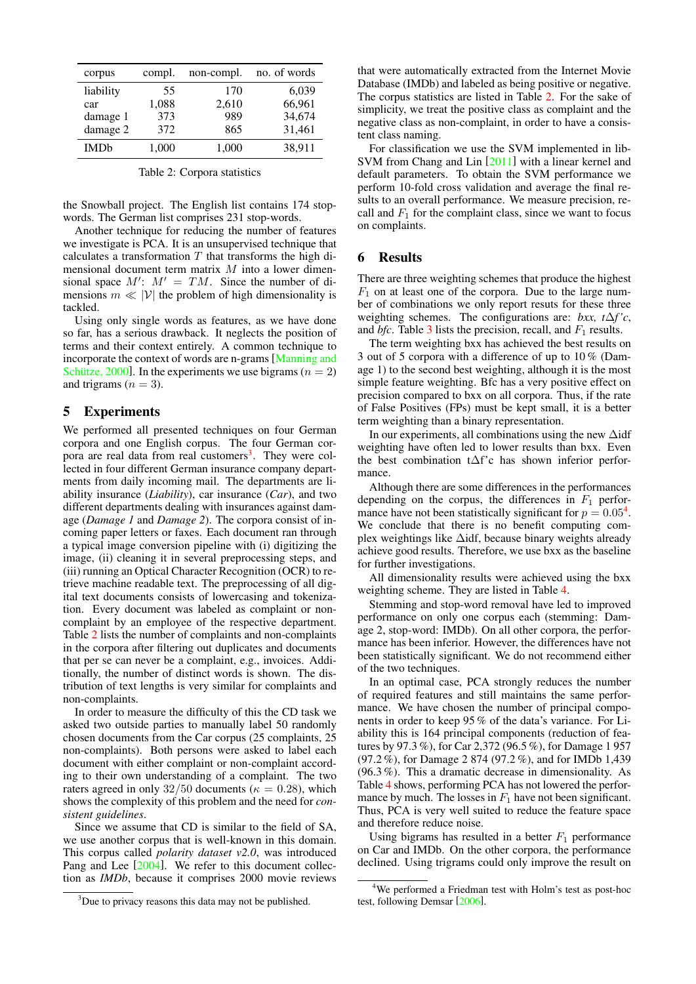| corpus      | compl. | non-compl. | no. of words |  |  |  |  |
|-------------|--------|------------|--------------|--|--|--|--|
| liability   | 55     | 170        | 6,039        |  |  |  |  |
| car         | 1,088  | 2,610      | 66,961       |  |  |  |  |
| damage 1    | 373    | 989        | 34,674       |  |  |  |  |
| damage 2    | 372    | 865        | 31,461       |  |  |  |  |
| <b>IMDb</b> | 1,000  | 1,000      | 38,911       |  |  |  |  |

<span id="page-2-1"></span>Table 2: Corpora statistics

the Snowball project. The English list contains 174 stopwords. The German list comprises 231 stop-words.

Another technique for reducing the number of features we investigate is PCA. It is an unsupervised technique that calculates a transformation  $T$  that transforms the high dimensional document term matrix M into a lower dimensional space  $M'$ :  $M' = TM$ . Since the number of dimensions  $m \ll |\mathcal{V}|$  the problem of high dimensionality is tackled.

Using only single words as features, as we have done so far, has a serious drawback. It neglects the position of terms and their context entirely. A common technique to incorporate the context of words are n-grams [\[Manning and](#page-3-8) [Schütze, 2000\]](#page-3-8). In the experiments we use bigrams ( $n = 2$ ) and trigrams ( $n = 3$ ).

## 5 Experiments

We performed all presented techniques on four German corpora and one English corpus. The four German cor-pora are real data from real customers<sup>[3](#page-2-0)</sup>. They were collected in four different German insurance company departments from daily incoming mail. The departments are liability insurance (*Liability*), car insurance (*Car*), and two different departments dealing with insurances against damage (*Damage 1* and *Damage 2*). The corpora consist of incoming paper letters or faxes. Each document ran through a typical image conversion pipeline with (i) digitizing the image, (ii) cleaning it in several preprocessing steps, and (iii) running an Optical Character Recognition (OCR) to retrieve machine readable text. The preprocessing of all digital text documents consists of lowercasing and tokenization. Every document was labeled as complaint or noncomplaint by an employee of the respective department. Table [2](#page-2-1) lists the number of complaints and non-complaints in the corpora after filtering out duplicates and documents that per se can never be a complaint, e.g., invoices. Additionally, the number of distinct words is shown. The distribution of text lengths is very similar for complaints and non-complaints.

In order to measure the difficulty of this the CD task we asked two outside parties to manually label 50 randomly chosen documents from the Car corpus (25 complaints, 25 non-complaints). Both persons were asked to label each document with either complaint or non-complaint according to their own understanding of a complaint. The two raters agreed in only 32/50 documents ( $\kappa = 0.28$ ), which shows the complexity of this problem and the need for *consistent guidelines*.

Since we assume that CD is similar to the field of SA, we use another corpus that is well-known in this domain. This corpus called *polarity dataset v2.0*, was introduced Pang and Lee [\[2004\]](#page-3-9). We refer to this document collection as *IMDb*, because it comprises 2000 movie reviews

that were automatically extracted from the Internet Movie Database (IMDb) and labeled as being positive or negative. The corpus statistics are listed in Table [2.](#page-2-1) For the sake of simplicity, we treat the positive class as complaint and the negative class as non-complaint, in order to have a consistent class naming.

For classification we use the SVM implemented in lib-SVM from Chang and Lin [\[2011\]](#page-3-10) with a linear kernel and default parameters. To obtain the SVM performance we perform 10-fold cross validation and average the final results to an overall performance. We measure precision, recall and  $F_1$  for the complaint class, since we want to focus on complaints.

#### 6 Results

There are three weighting schemes that produce the highest  $F_1$  on at least one of the corpora. Due to the large number of combinations we only report resuts for these three weighting schemes. The configurations are: *bxx, t*∆*f 'c*, and *bfc*. Table [3](#page-3-11) lists the precision, recall, and  $F_1$  results.

The term weighting bxx has achieved the best results on 3 out of 5 corpora with a difference of up to 10 % (Damage 1) to the second best weighting, although it is the most simple feature weighting. Bfc has a very positive effect on precision compared to bxx on all corpora. Thus, if the rate of False Positives (FPs) must be kept small, it is a better term weighting than a binary representation.

In our experiments, all combinations using the new ∆idf weighting have often led to lower results than bxx. Even the best combination t∆f'c has shown inferior performance.

Although there are some differences in the performances depending on the corpus, the differences in  $F_1$  performance have not been statistically significant for  $p = 0.05^4$  $p = 0.05^4$ . We conclude that there is no benefit computing complex weightings like ∆idf, because binary weights already achieve good results. Therefore, we use bxx as the baseline for further investigations.

All dimensionality results were achieved using the bxx weighting scheme. They are listed in Table [4.](#page-3-12)

Stemming and stop-word removal have led to improved performance on only one corpus each (stemming: Damage 2, stop-word: IMDb). On all other corpora, the performance has been inferior. However, the differences have not been statistically significant. We do not recommend either of the two techniques.

In an optimal case, PCA strongly reduces the number of required features and still maintains the same performance. We have chosen the number of principal components in order to keep 95 % of the data's variance. For Liability this is 164 principal components (reduction of features by 97.3 %), for Car 2,372 (96.5 %), for Damage 1 957 (97.2 %), for Damage 2 874 (97.2 %), and for IMDb 1,439 (96.3 %). This a dramatic decrease in dimensionality. As Table [4](#page-3-12) shows, performing PCA has not lowered the performance by much. The losses in  $F_1$  have not been significant. Thus, PCA is very well suited to reduce the feature space and therefore reduce noise.

Using bigrams has resulted in a better  $F_1$  performance on Car and IMDb. On the other corpora, the performance declined. Using trigrams could only improve the result on

<span id="page-2-0"></span><sup>&</sup>lt;sup>3</sup>Due to privacy reasons this data may not be published.

<span id="page-2-2"></span><sup>4</sup>We performed a Friedman test with Holm's test as post-hoc test, following Demsar [\[2006\]](#page-3-13).